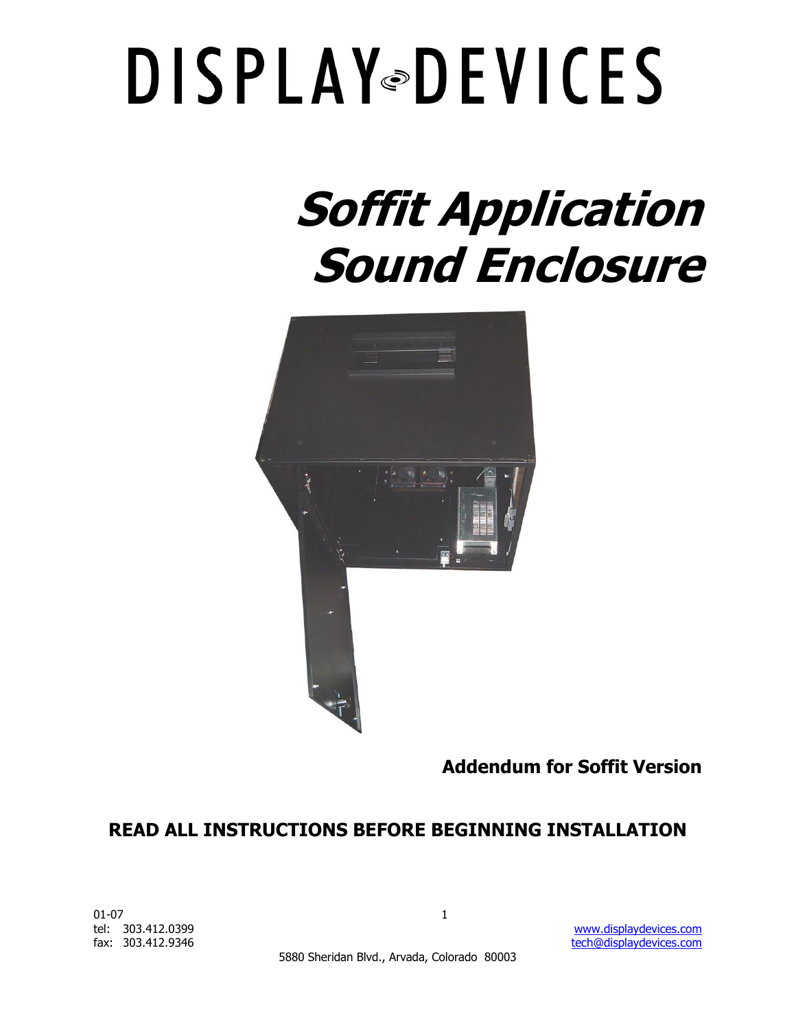### **Soffit Application Sound Enclosure**



**Addendum for Soffit Version**

### **READ ALL INSTRUCTIONS BEFORE BEGINNING INSTALLATION**

 $01-07$  1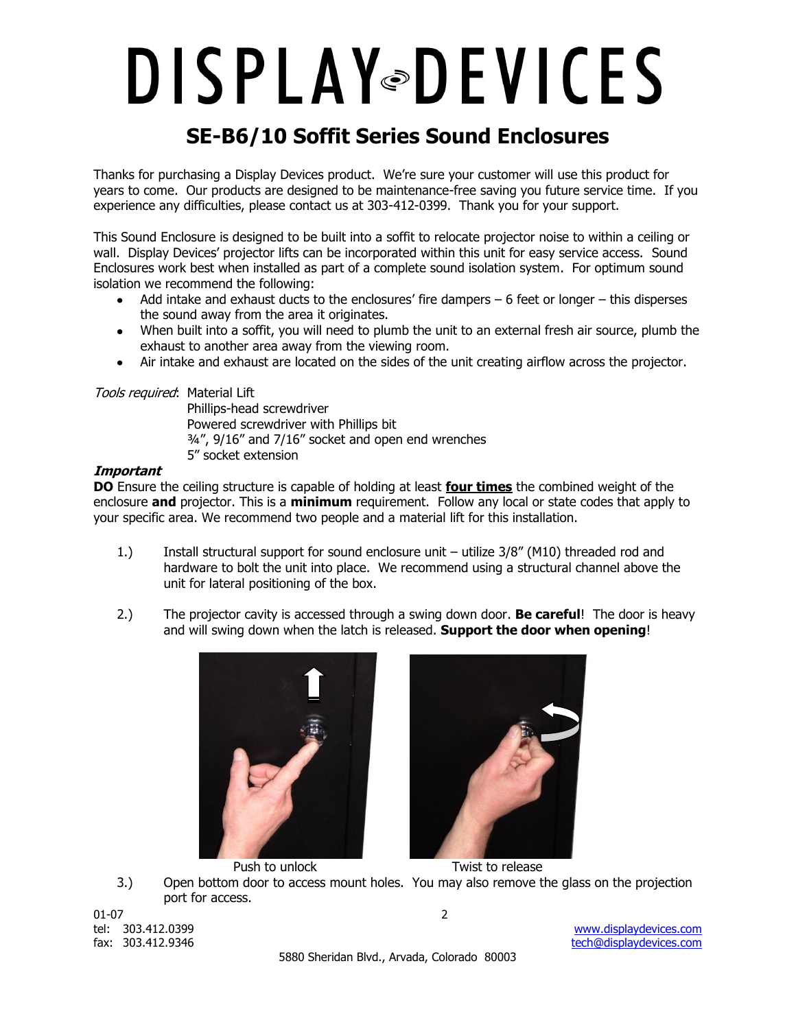### **SE-B6/10 Soffit Series Sound Enclosures**

Thanks for purchasing a Display Devices product. We"re sure your customer will use this product for years to come. Our products are designed to be maintenance-free saving you future service time. If you experience any difficulties, please contact us at 303-412-0399. Thank you for your support.

This Sound Enclosure is designed to be built into a soffit to relocate projector noise to within a ceiling or wall. Display Devices' projector lifts can be incorporated within this unit for easy service access. Sound Enclosures work best when installed as part of a complete sound isolation system. For optimum sound isolation we recommend the following:

- Add intake and exhaust ducts to the enclosures' fire dampers 6 feet or longer this disperses the sound away from the area it originates.
- When built into a soffit, you will need to plumb the unit to an external fresh air source, plumb the exhaust to another area away from the viewing room.
- Air intake and exhaust are located on the sides of the unit creating airflow across the projector.  $\bullet$

#### Tools required: Material Lift

Phillips-head screwdriver Powered screwdriver with Phillips bit ¾", 9/16" and 7/16" socket and open end wrenches 5" socket extension

#### **Important**

**DO** Ensure the ceiling structure is capable of holding at least **four times** the combined weight of the enclosure **and** projector. This is a **minimum** requirement. Follow any local or state codes that apply to your specific area. We recommend two people and a material lift for this installation.

- 1.) Install structural support for sound enclosure unit utilize 3/8" (M10) threaded rod and hardware to bolt the unit into place. We recommend using a structural channel above the unit for lateral positioning of the box.
- 2.) The projector cavity is accessed through a swing down door. **Be careful**! The door is heavy and will swing down when the latch is released. **Support the door when opening**!





Push to unlock Twist to release 3.) Open bottom door to access mount holes. You may also remove the glass on the projection port for access.

01-07 2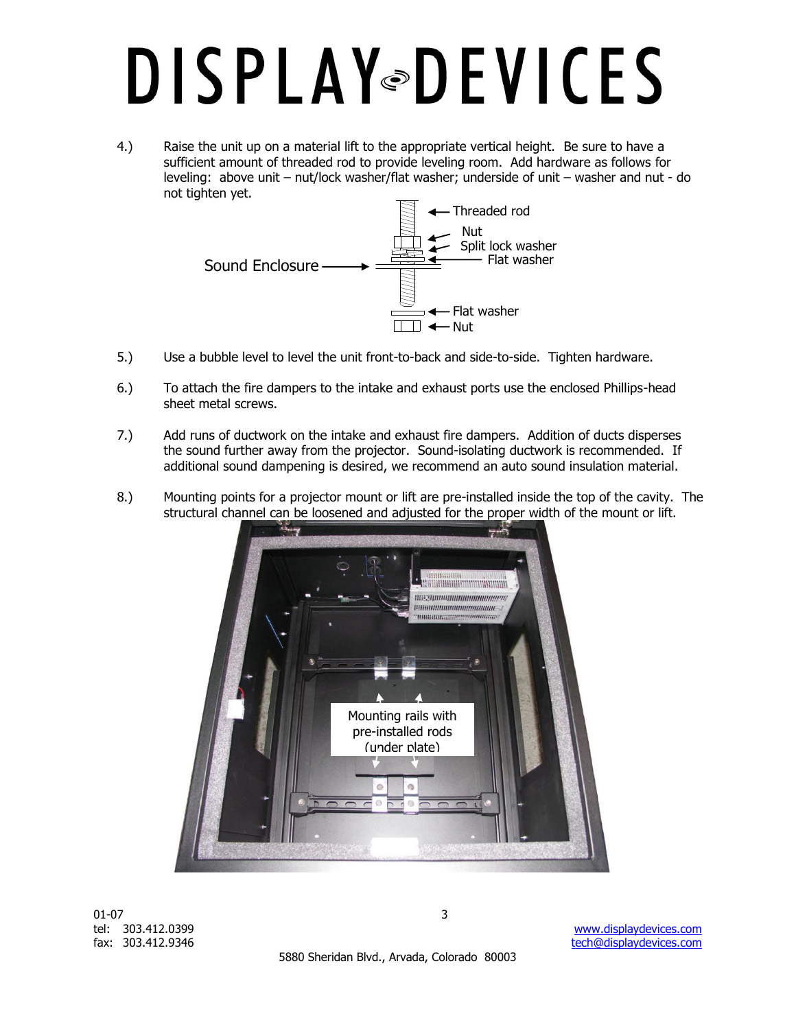4.) Raise the unit up on a material lift to the appropriate vertical height. Be sure to have a sufficient amount of threaded rod to provide leveling room. Add hardware as follows for leveling: above unit – nut/lock washer/flat washer; underside of unit – washer and nut - do not tighten yet.



- 5.) Use a bubble level to level the unit front-to-back and side-to-side. Tighten hardware.
- 6.) To attach the fire dampers to the intake and exhaust ports use the enclosed Phillips-head sheet metal screws.
- 7.) Add runs of ductwork on the intake and exhaust fire dampers. Addition of ducts disperses the sound further away from the projector. Sound-isolating ductwork is recommended. If additional sound dampening is desired, we recommend an auto sound insulation material.
- 8.) Mounting points for a projector mount or lift are pre-installed inside the top of the cavity. The structural channel can be loosened and adjusted for the proper width of the mount or lift.



01-07  $\sim$  3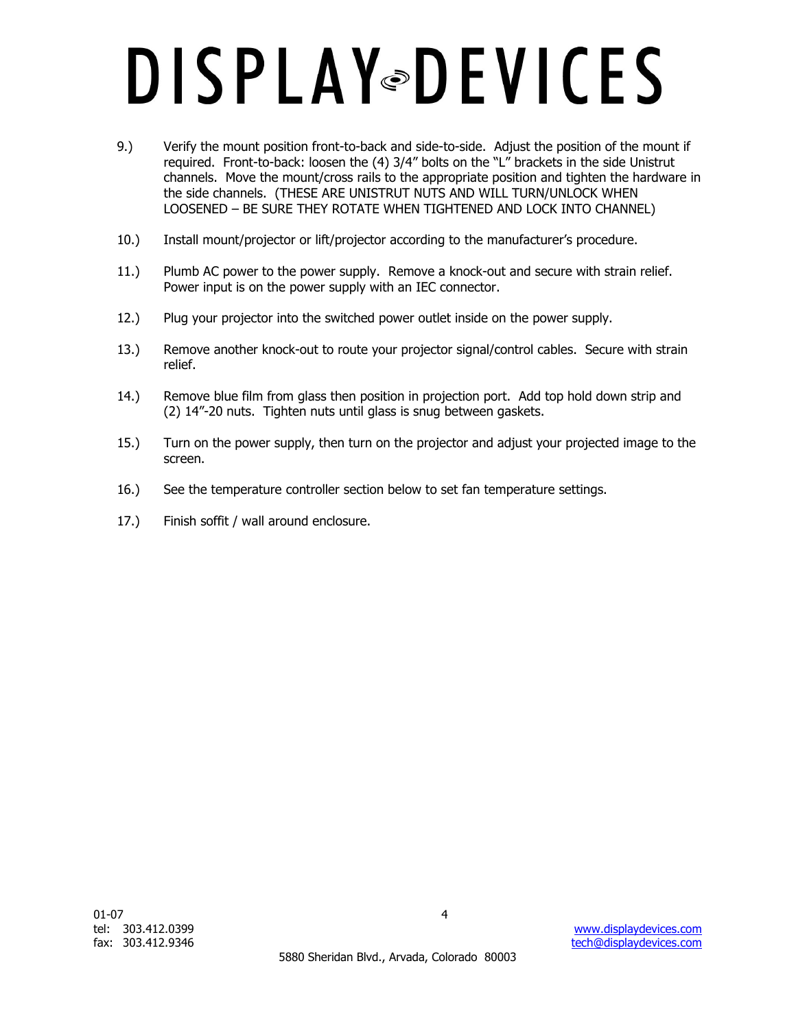- 9.) Verify the mount position front-to-back and side-to-side. Adjust the position of the mount if required. Front-to-back: loosen the (4) 3/4" bolts on the "L" brackets in the side Unistrut channels. Move the mount/cross rails to the appropriate position and tighten the hardware in the side channels. (THESE ARE UNISTRUT NUTS AND WILL TURN/UNLOCK WHEN LOOSENED – BE SURE THEY ROTATE WHEN TIGHTENED AND LOCK INTO CHANNEL)
- 10.) Install mount/projector or lift/projector according to the manufacturer"s procedure.
- 11.) Plumb AC power to the power supply. Remove a knock-out and secure with strain relief. Power input is on the power supply with an IEC connector.
- 12.) Plug your projector into the switched power outlet inside on the power supply.
- 13.) Remove another knock-out to route your projector signal/control cables. Secure with strain relief.
- 14.) Remove blue film from glass then position in projection port. Add top hold down strip and (2) 14"-20 nuts. Tighten nuts until glass is snug between gaskets.
- 15.) Turn on the power supply, then turn on the projector and adjust your projected image to the screen.
- 16.) See the temperature controller section below to set fan temperature settings.
- 17.) Finish soffit / wall around enclosure.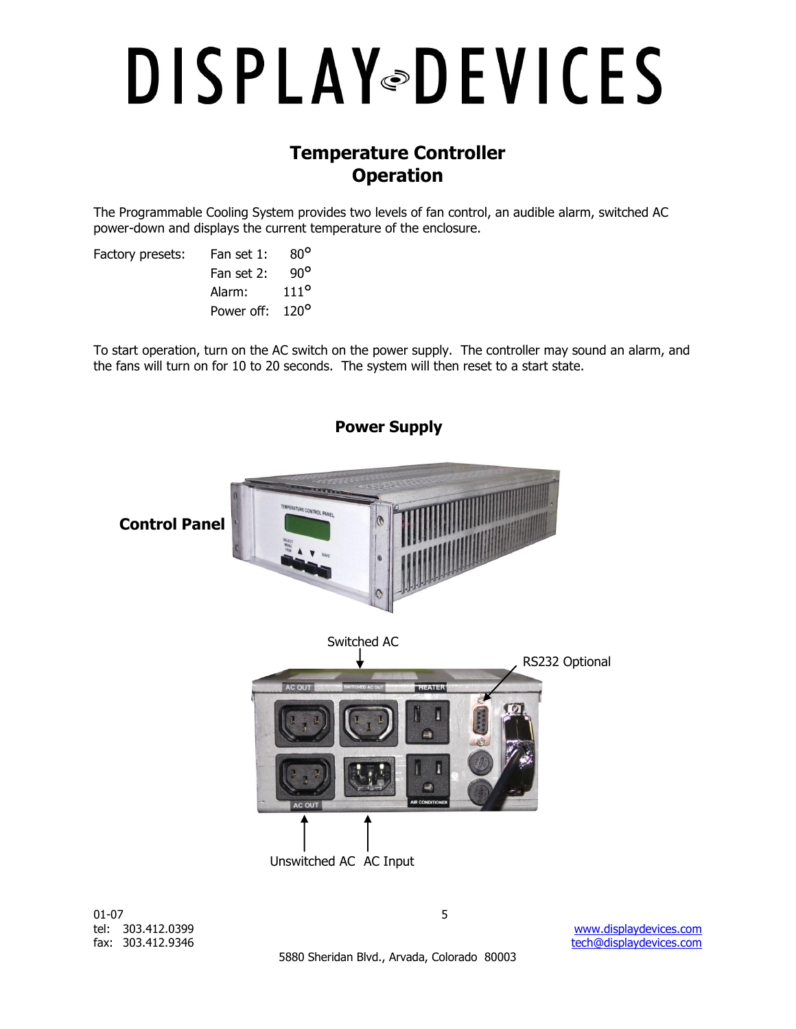### **Temperature Controller Operation**

The Programmable Cooling System provides two levels of fan control, an audible alarm, switched AC power-down and displays the current temperature of the enclosure.

| Factory presets: | Fan set 1:                  | $80^\circ$    |
|------------------|-----------------------------|---------------|
|                  | Fan set 2:                  | a∪o           |
|                  | Alarm:                      | $111^{\circ}$ |
|                  | Power off: 120 <sup>o</sup> |               |
|                  |                             |               |

To start operation, turn on the AC switch on the power supply. The controller may sound an alarm, and the fans will turn on for 10 to 20 seconds. The system will then reset to a start state.



 $01-07$  5

5880 Sheridan Blvd., Arvada, Colorado 80003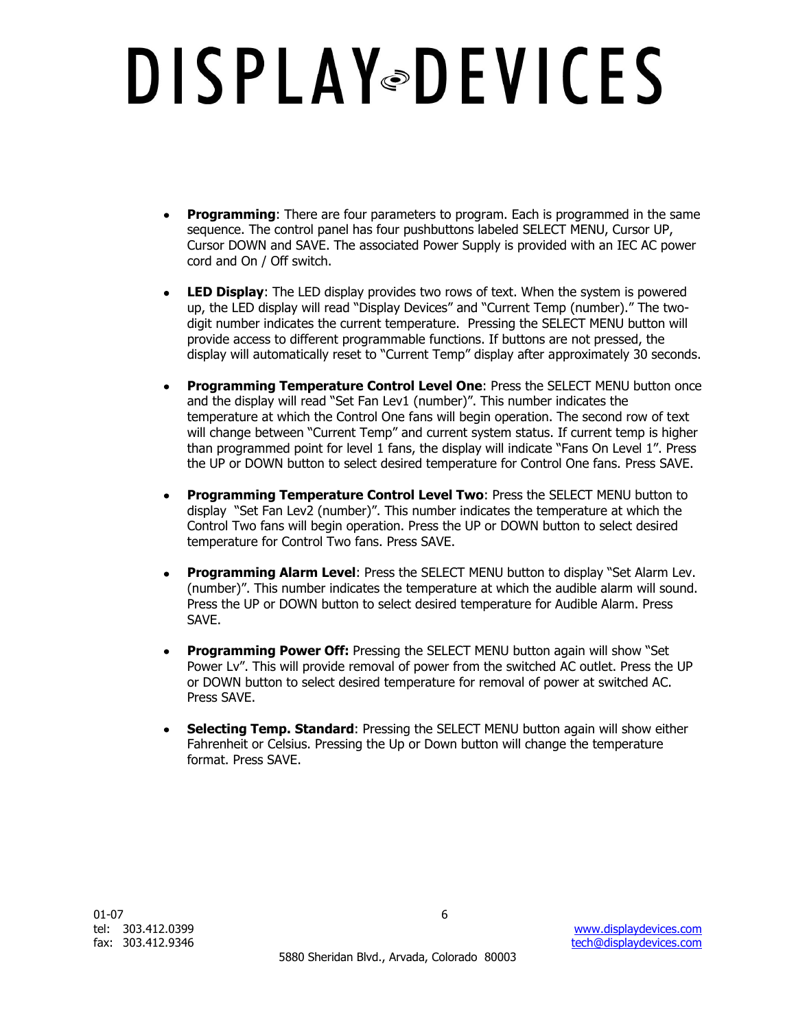- $\bullet$ **Programming**: There are four parameters to program. Each is programmed in the same sequence. The control panel has four pushbuttons labeled SELECT MENU, Cursor UP, Cursor DOWN and SAVE. The associated Power Supply is provided with an IEC AC power cord and On / Off switch.
- **LED Display**: The LED display provides two rows of text. When the system is powered  $\bullet$ up, the LED display will read "Display Devices" and "Current Temp (number)." The twodigit number indicates the current temperature. Pressing the SELECT MENU button will provide access to different programmable functions. If buttons are not pressed, the display will automatically reset to "Current Temp" display after approximately 30 seconds.
- **Programming Temperature Control Level One**: Press the SELECT MENU button once  $\bullet$ and the display will read "Set Fan Lev1 (number)". This number indicates the temperature at which the Control One fans will begin operation. The second row of text will change between "Current Temp" and current system status. If current temp is higher than programmed point for level 1 fans, the display will indicate "Fans On Level 1". Press the UP or DOWN button to select desired temperature for Control One fans. Press SAVE.
- $\bullet$ **Programming Temperature Control Level Two**: Press the SELECT MENU button to display "Set Fan Lev2 (number)". This number indicates the temperature at which the Control Two fans will begin operation. Press the UP or DOWN button to select desired temperature for Control Two fans. Press SAVE.
- $\bullet$ **Programming Alarm Level**: Press the SELECT MENU button to display "Set Alarm Lev. (number)". This number indicates the temperature at which the audible alarm will sound. Press the UP or DOWN button to select desired temperature for Audible Alarm. Press SAVE.
- $\bullet$ **Programming Power Off:** Pressing the SELECT MENU button again will show "Set Power Lv". This will provide removal of power from the switched AC outlet. Press the UP or DOWN button to select desired temperature for removal of power at switched AC. Press SAVE.
- **Selecting Temp. Standard**: Pressing the SELECT MENU button again will show either  $\bullet$ Fahrenheit or Celsius. Pressing the Up or Down button will change the temperature format. Press SAVE.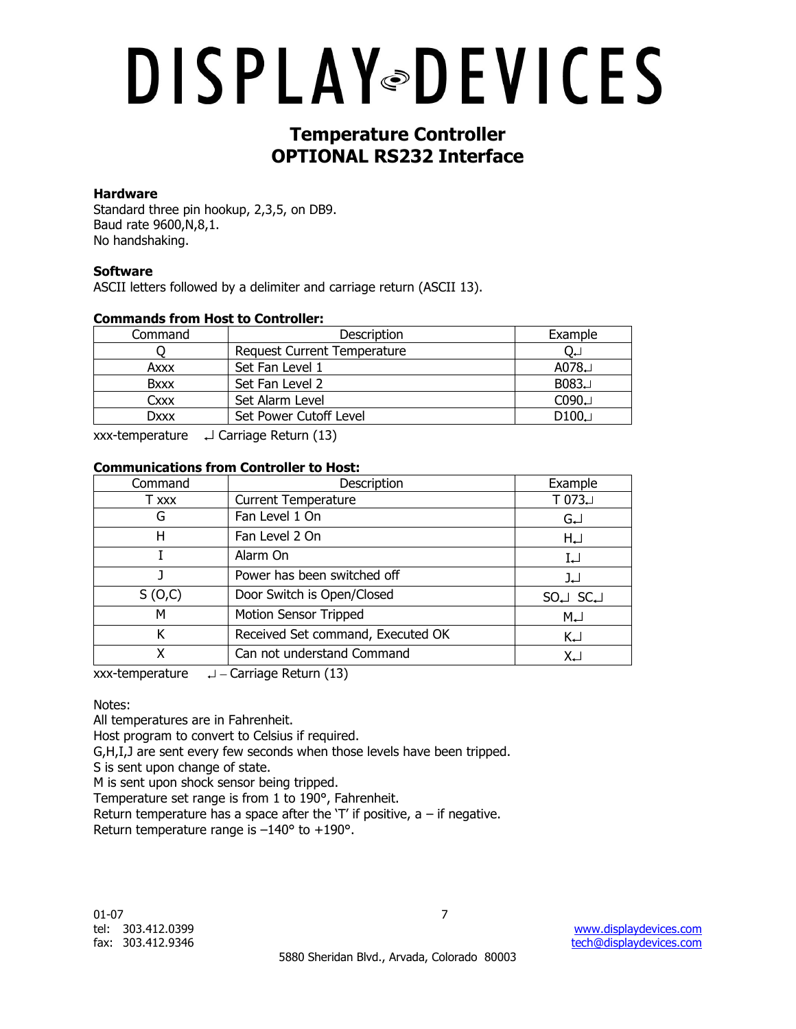### **Temperature Controller OPTIONAL RS232 Interface**

#### **Hardware**

Standard three pin hookup, 2,3,5, on DB9. Baud rate 9600,N,8,1. No handshaking.

### **Software**

ASCII letters followed by a delimiter and carriage return (ASCII 13).

#### **Commands from Host to Controller:**

| Command     | Description                        | Example     |
|-------------|------------------------------------|-------------|
|             | <b>Request Current Temperature</b> | ∪∟          |
| Axxx        | Set Fan Level 1                    | A078 $\Box$ |
| <b>Bxxx</b> | Set Fan Level 2                    | B083.       |
| Cxxx        | Set Alarm Level                    | C090        |
| Dxxx        | Set Power Cutoff Level             | D100        |

xxx-temperature  $\Box$  Carriage Return (13)

#### **Communications from Controller to Host:**

| Command | Description                       | Example           |
|---------|-----------------------------------|-------------------|
| T xxx   | <b>Current Temperature</b>        | $T 073 \cup$      |
| G       | Fan Level 1 On                    | GJ                |
| н       | Fan Level 2 On                    | $H_{\leftarrow}$  |
|         | Alarm On                          | IJ                |
|         | Power has been switched off       | لہ[               |
| S(0,C)  | Door Switch is Open/Closed        | $SO \cup SC \cup$ |
| М       | <b>Motion Sensor Tripped</b>      | $M_{\leftarrow}$  |
| Κ       | Received Set command, Executed OK | $K_{\leftarrow}$  |
|         | Can not understand Command        | XJ                |

xxx-temperature  $\Box$  - Carriage Return (13)

Notes:

All temperatures are in Fahrenheit.

Host program to convert to Celsius if required.

G,H,I,J are sent every few seconds when those levels have been tripped.

S is sent upon change of state.

M is sent upon shock sensor being tripped.

Temperature set range is from 1 to 190°, Fahrenheit.

Return temperature has a space after the  $T'$  if positive, a – if negative. Return temperature range is –140° to +190°.